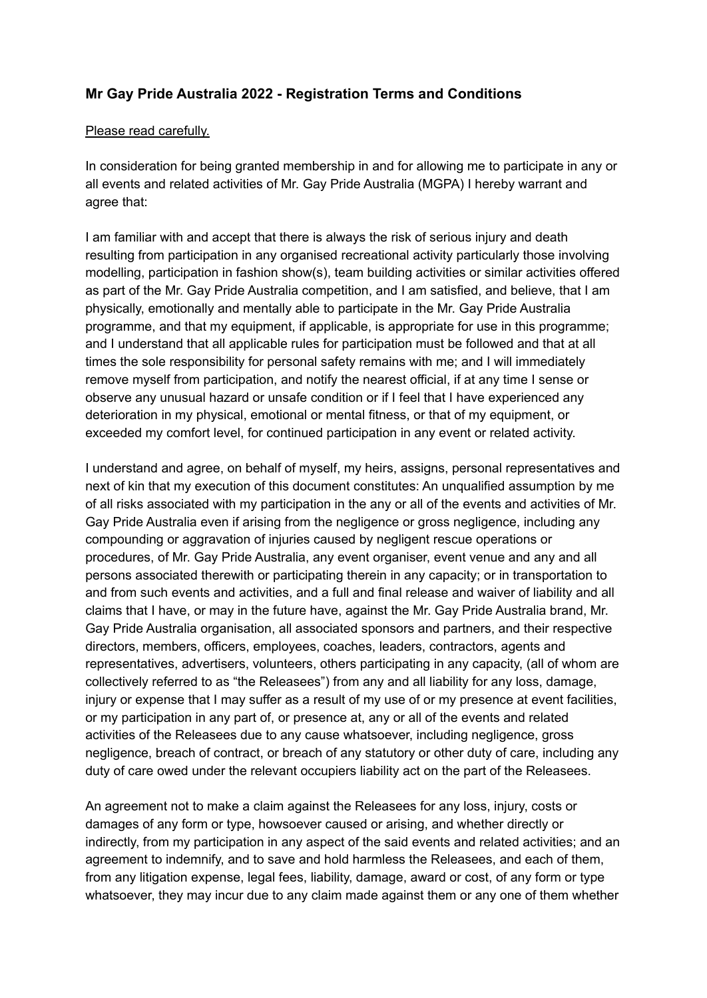# **Mr Gay Pride Australia 2022 - Registration Terms and Conditions**

#### Please read carefully.

In consideration for being granted membership in and for allowing me to participate in any or all events and related activities of Mr. Gay Pride Australia (MGPA) I hereby warrant and agree that:

I am familiar with and accept that there is always the risk of serious injury and death resulting from participation in any organised recreational activity particularly those involving modelling, participation in fashion show(s), team building activities or similar activities offered as part of the Mr. Gay Pride Australia competition, and I am satisfied, and believe, that I am physically, emotionally and mentally able to participate in the Mr. Gay Pride Australia programme, and that my equipment, if applicable, is appropriate for use in this programme; and I understand that all applicable rules for participation must be followed and that at all times the sole responsibility for personal safety remains with me; and I will immediately remove myself from participation, and notify the nearest official, if at any time I sense or observe any unusual hazard or unsafe condition or if I feel that I have experienced any deterioration in my physical, emotional or mental fitness, or that of my equipment, or exceeded my comfort level, for continued participation in any event or related activity.

I understand and agree, on behalf of myself, my heirs, assigns, personal representatives and next of kin that my execution of this document constitutes: An unqualified assumption by me of all risks associated with my participation in the any or all of the events and activities of Mr. Gay Pride Australia even if arising from the negligence or gross negligence, including any compounding or aggravation of injuries caused by negligent rescue operations or procedures, of Mr. Gay Pride Australia, any event organiser, event venue and any and all persons associated therewith or participating therein in any capacity; or in transportation to and from such events and activities, and a full and final release and waiver of liability and all claims that I have, or may in the future have, against the Mr. Gay Pride Australia brand, Mr. Gay Pride Australia organisation, all associated sponsors and partners, and their respective directors, members, officers, employees, coaches, leaders, contractors, agents and representatives, advertisers, volunteers, others participating in any capacity, (all of whom are collectively referred to as "the Releasees") from any and all liability for any loss, damage, injury or expense that I may suffer as a result of my use of or my presence at event facilities, or my participation in any part of, or presence at, any or all of the events and related activities of the Releasees due to any cause whatsoever, including negligence, gross negligence, breach of contract, or breach of any statutory or other duty of care, including any duty of care owed under the relevant occupiers liability act on the part of the Releasees.

An agreement not to make a claim against the Releasees for any loss, injury, costs or damages of any form or type, howsoever caused or arising, and whether directly or indirectly, from my participation in any aspect of the said events and related activities; and an agreement to indemnify, and to save and hold harmless the Releasees, and each of them, from any litigation expense, legal fees, liability, damage, award or cost, of any form or type whatsoever, they may incur due to any claim made against them or any one of them whether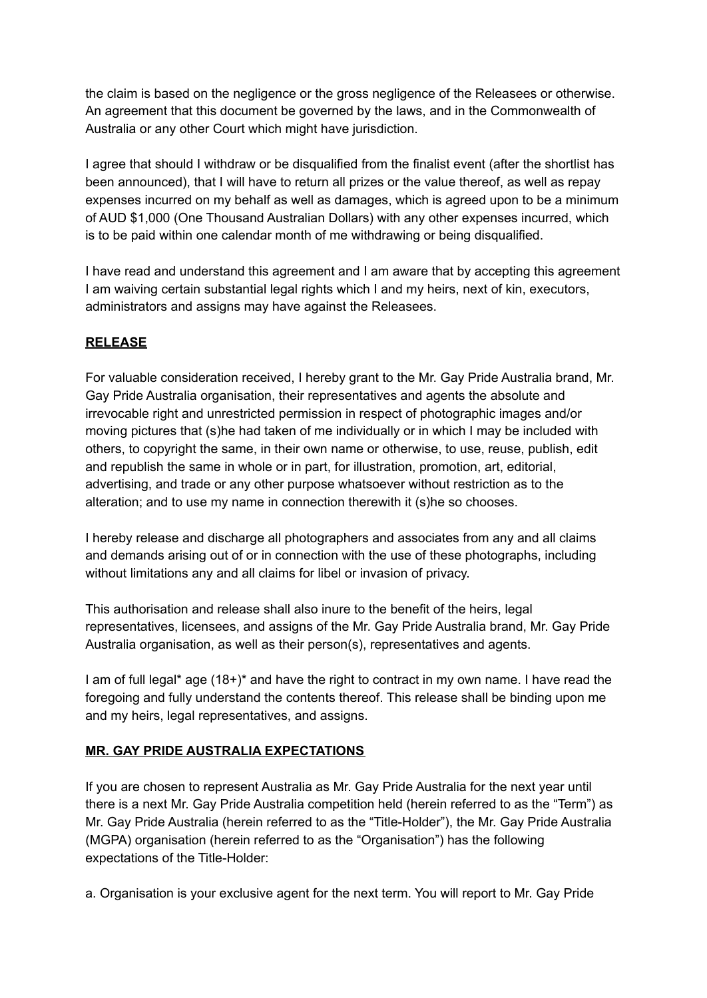the claim is based on the negligence or the gross negligence of the Releasees or otherwise. An agreement that this document be governed by the laws, and in the Commonwealth of Australia or any other Court which might have jurisdiction.

I agree that should I withdraw or be disqualified from the finalist event (after the shortlist has been announced), that I will have to return all prizes or the value thereof, as well as repay expenses incurred on my behalf as well as damages, which is agreed upon to be a minimum of AUD \$1,000 (One Thousand Australian Dollars) with any other expenses incurred, which is to be paid within one calendar month of me withdrawing or being disqualified.

I have read and understand this agreement and I am aware that by accepting this agreement I am waiving certain substantial legal rights which I and my heirs, next of kin, executors, administrators and assigns may have against the Releasees.

## **RELEASE**

For valuable consideration received, I hereby grant to the Mr. Gay Pride Australia brand, Mr. Gay Pride Australia organisation, their representatives and agents the absolute and irrevocable right and unrestricted permission in respect of photographic images and/or moving pictures that (s)he had taken of me individually or in which I may be included with others, to copyright the same, in their own name or otherwise, to use, reuse, publish, edit and republish the same in whole or in part, for illustration, promotion, art, editorial, advertising, and trade or any other purpose whatsoever without restriction as to the alteration; and to use my name in connection therewith it (s)he so chooses.

I hereby release and discharge all photographers and associates from any and all claims and demands arising out of or in connection with the use of these photographs, including without limitations any and all claims for libel or invasion of privacy.

This authorisation and release shall also inure to the benefit of the heirs, legal representatives, licensees, and assigns of the Mr. Gay Pride Australia brand, Mr. Gay Pride Australia organisation, as well as their person(s), representatives and agents.

I am of full legal\* age (18+)\* and have the right to contract in my own name. I have read the foregoing and fully understand the contents thereof. This release shall be binding upon me and my heirs, legal representatives, and assigns.

### **MR. GAY PRIDE AUSTRALIA EXPECTATIONS**

If you are chosen to represent Australia as Mr. Gay Pride Australia for the next year until there is a next Mr. Gay Pride Australia competition held (herein referred to as the "Term") as Mr. Gay Pride Australia (herein referred to as the "Title-Holder"), the Mr. Gay Pride Australia (MGPA) organisation (herein referred to as the "Organisation") has the following expectations of the Title-Holder:

a. Organisation is your exclusive agent for the next term. You will report to Mr. Gay Pride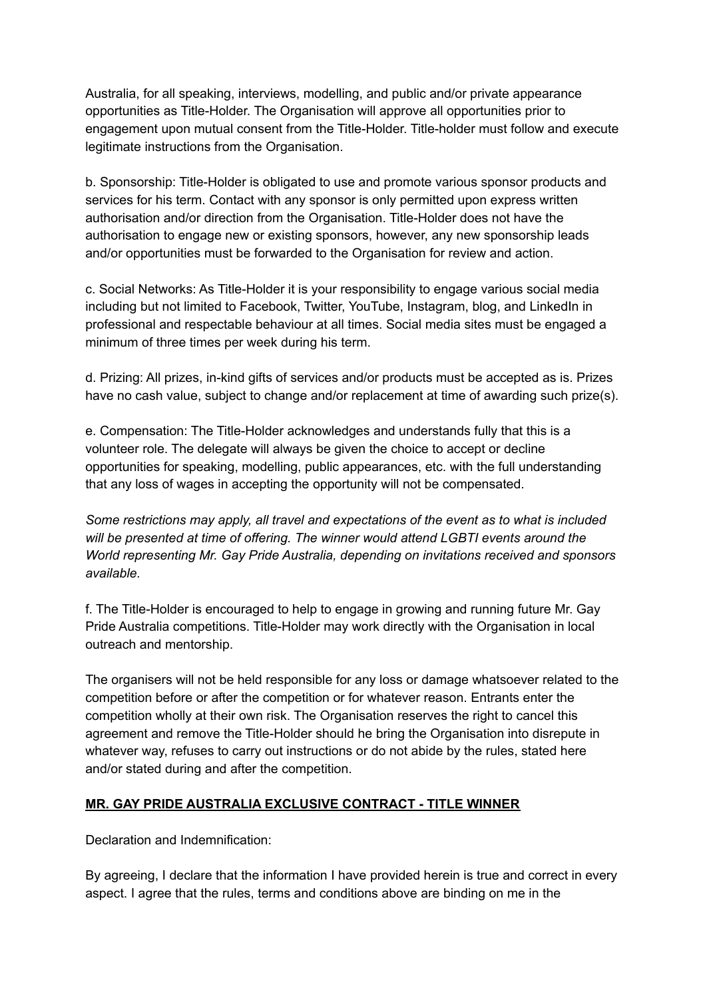Australia, for all speaking, interviews, modelling, and public and/or private appearance opportunities as Title-Holder. The Organisation will approve all opportunities prior to engagement upon mutual consent from the Title-Holder. Title-holder must follow and execute legitimate instructions from the Organisation.

b. Sponsorship: Title-Holder is obligated to use and promote various sponsor products and services for his term. Contact with any sponsor is only permitted upon express written authorisation and/or direction from the Organisation. Title-Holder does not have the authorisation to engage new or existing sponsors, however, any new sponsorship leads and/or opportunities must be forwarded to the Organisation for review and action.

c. Social Networks: As Title-Holder it is your responsibility to engage various social media including but not limited to Facebook, Twitter, YouTube, Instagram, blog, and LinkedIn in professional and respectable behaviour at all times. Social media sites must be engaged a minimum of three times per week during his term.

d. Prizing: All prizes, in-kind gifts of services and/or products must be accepted as is. Prizes have no cash value, subject to change and/or replacement at time of awarding such prize(s).

e. Compensation: The Title-Holder acknowledges and understands fully that this is a volunteer role. The delegate will always be given the choice to accept or decline opportunities for speaking, modelling, public appearances, etc. with the full understanding that any loss of wages in accepting the opportunity will not be compensated.

*Some restrictions may apply, all travel and expectations of the event as to what is included will be presented at time of offering. The winner would attend LGBTI events around the World representing Mr. Gay Pride Australia, depending on invitations received and sponsors available.*

f. The Title-Holder is encouraged to help to engage in growing and running future Mr. Gay Pride Australia competitions. Title-Holder may work directly with the Organisation in local outreach and mentorship.

The organisers will not be held responsible for any loss or damage whatsoever related to the competition before or after the competition or for whatever reason. Entrants enter the competition wholly at their own risk. The Organisation reserves the right to cancel this agreement and remove the Title-Holder should he bring the Organisation into disrepute in whatever way, refuses to carry out instructions or do not abide by the rules, stated here and/or stated during and after the competition.

### **MR. GAY PRIDE AUSTRALIA EXCLUSIVE CONTRACT - TITLE WINNER**

Declaration and Indemnification:

By agreeing, I declare that the information I have provided herein is true and correct in every aspect. I agree that the rules, terms and conditions above are binding on me in the